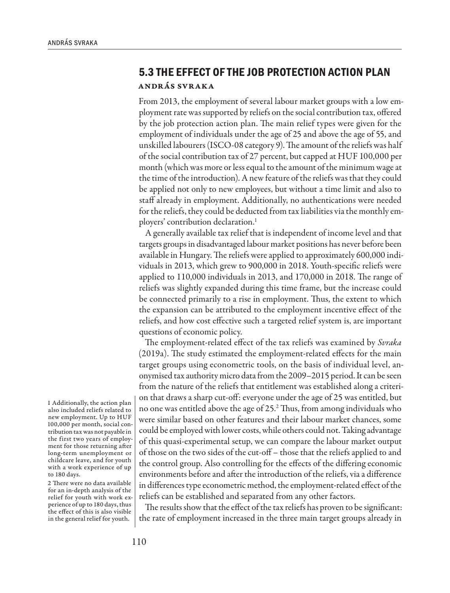## **5.3 THE EFFECT OF THE JOB PROTECTION ACTION PLAN** András Svraka

From 2013, the employment of several labour market groups with a low employment rate was supported by reliefs on the social contribution tax, offered by the job protection action plan. The main relief types were given for the employment of individuals under the age of 25 and above the age of 55, and unskilled labourers (ISCO-08 category 9). The amount of the reliefs was half of the social contribution tax of 27 percent, but capped at HUF 100,000 per month (which was more or less equal to the amount of the minimum wage at the time of the introduction). A new feature of the reliefs was that they could be applied not only to new employees, but without a time limit and also to staff already in employment. Additionally, no authentications were needed for the reliefs, they could be deducted from tax liabilities via the monthly employers' contribution declaration.<sup>1</sup>

A generally available tax relief that is independent of income level and that targets groups in disadvantaged labour market positions has never before been available in Hungary. The reliefs were applied to approximately 600,000 individuals in 2013, which grew to 900,000 in 2018. Youth-specific reliefs were applied to 110,000 individuals in 2013, and 170,000 in 2018. The range of reliefs was slightly expanded during this time frame, but the increase could be connected primarily to a rise in employment. Thus, the extent to which the expansion can be attributed to the employment incentive effect of the reliefs, and how cost effective such a targeted relief system is, are important questions of economic policy.

The employment-related effect of the tax reliefs was examined by *Svraka* (2019a). The study estimated the employment-related effects for the main target groups using econometric tools, on the basis of individual level, anonymised tax authority micro data from the 2009–2015 period. It can be seen from the nature of the reliefs that entitlement was established along a criterion that draws a sharp cut-off: everyone under the age of 25 was entitled, but no one was entitled above the age of 25.2 Thus, from among individuals who were similar based on other features and their labour market chances, some could be employed with lower costs, while others could not. Taking advantage of this quasi-experimental setup, we can compare the labour market output of those on the two sides of the cut-off – those that the reliefs applied to and the control group. Also controlling for the effects of the differing economic environments before and after the introduction of the reliefs, via a difference in differences type econometric method, the employment-related effect of the reliefs can be established and separated from any other factors.

The results show that the effect of the tax reliefs has proven to be significant: the rate of employment increased in the three main target groups already in

1 Additionally, the action plan also included reliefs related to new employment. Up to HUF 100,000 per month, social contribution tax was not payable in the first two years of employment for those returning after long-term unemployment or childcare leave, and for youth with a work experience of up to 180 days.

2 There were no data available for an in-depth analysis of the relief for youth with work experience of up to 180 days, thus the effect of this is also visible in the general relief for youth.